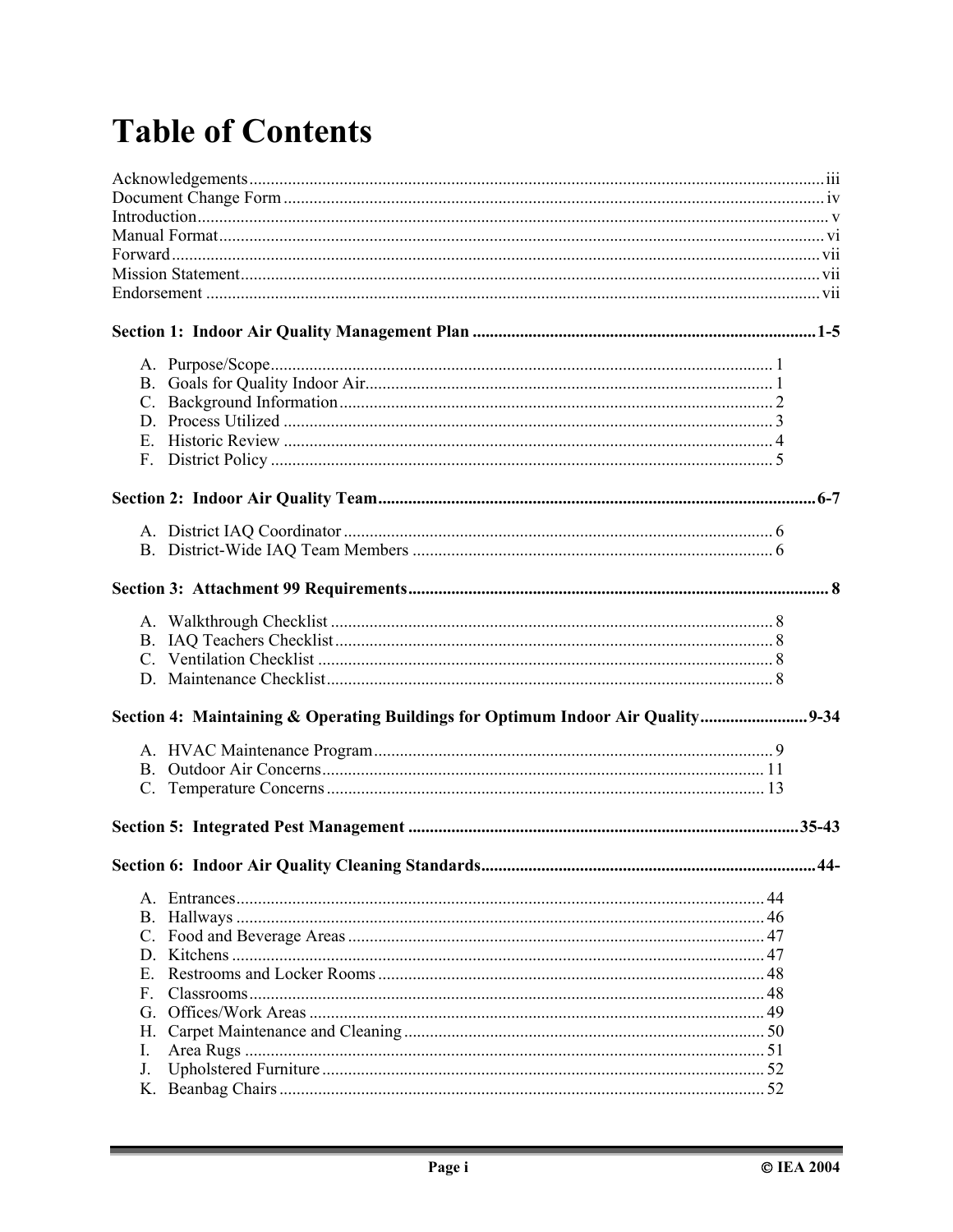## **Table of Contents**

| Section 4: Maintaining & Operating Buildings for Optimum Indoor Air Quality 9-34 |        |
|----------------------------------------------------------------------------------|--------|
|                                                                                  |        |
|                                                                                  |        |
|                                                                                  | $.44-$ |
| E.<br>$F_{\cdot}$<br>Н.<br>I.<br>J.                                              |        |